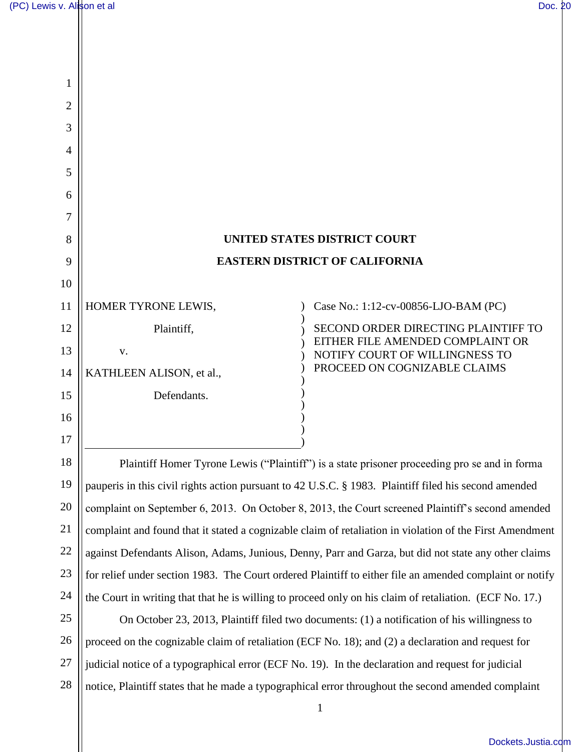| 1              |                          |                                                                    |
|----------------|--------------------------|--------------------------------------------------------------------|
| $\overline{2}$ |                          |                                                                    |
| 3              |                          |                                                                    |
| 4              |                          |                                                                    |
| 5              |                          |                                                                    |
| 6              |                          |                                                                    |
| 7              |                          |                                                                    |
| 8              |                          | <b>UNITED STATES DISTRICT COURT</b>                                |
| 9              |                          | <b>EASTERN DISTRICT OF CALIFORNIA</b>                              |
| 10             |                          |                                                                    |
| 11             | HOMER TYRONE LEWIS,      | Case No.: 1:12-cv-00856-LJO-BAM (PC)                               |
| 12             | Plaintiff,               | SECOND ORDER DIRECTING PLAINTIFF TO                                |
| 13             | V.                       | EITHER FILE AMENDED COMPLAINT OR<br>NOTIFY COURT OF WILLINGNESS TO |
| 14             | KATHLEEN ALISON, et al., | PROCEED ON COGNIZABLE CLAIMS                                       |
| 15             | Defendants.              |                                                                    |
| 16             |                          |                                                                    |
| 17             |                          |                                                                    |
|                |                          |                                                                    |

18 19 20 21 22 23 24 Plaintiff Homer Tyrone Lewis ("Plaintiff") is a state prisoner proceeding pro se and in forma pauperis in this civil rights action pursuant to 42 U.S.C. § 1983. Plaintiff filed his second amended complaint on September 6, 2013. On October 8, 2013, the Court screened Plaintiff's second amended complaint and found that it stated a cognizable claim of retaliation in violation of the First Amendment against Defendants Alison, Adams, Junious, Denny, Parr and Garza, but did not state any other claims for relief under section 1983. The Court ordered Plaintiff to either file an amended complaint or notify the Court in writing that that he is willing to proceed only on his claim of retaliation. (ECF No. 17.)

25 26 27 28 On October 23, 2013, Plaintiff filed two documents: (1) a notification of his willingness to proceed on the cognizable claim of retaliation (ECF No. 18); and (2) a declaration and request for judicial notice of a typographical error (ECF No. 19). In the declaration and request for judicial notice, Plaintiff states that he made a typographical error throughout the second amended complaint